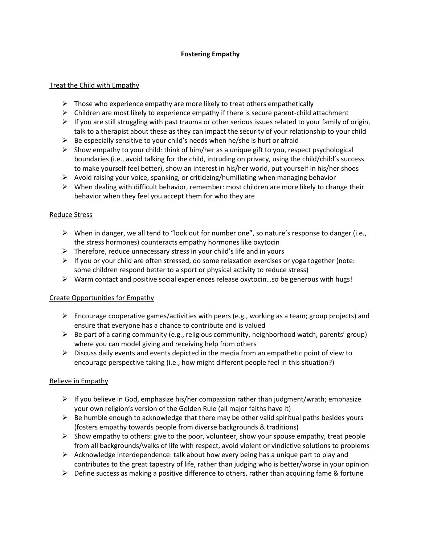# **Fostering Empathy**

## Treat the Child with Empathy

- $\triangleright$  Those who experience empathy are more likely to treat others empathetically
- $\triangleright$  Children are most likely to experience empathy if there is secure parent-child attachment
- $\triangleright$  If you are still struggling with past trauma or other serious issues related to your family of origin, talk to a therapist about these as they can impact the security of your relationship to your child
- $\triangleright$  Be especially sensitive to your child's needs when he/she is hurt or afraid
- $\triangleright$  Show empathy to your child: think of him/her as a unique gift to you, respect psychological boundaries (i.e., avoid talking for the child, intruding on privacy, using the child/child's success to make yourself feel better), show an interest in his/her world, put yourself in his/her shoes
- $\triangleright$  Avoid raising your voice, spanking, or criticizing/humiliating when managing behavior
- $\triangleright$  When dealing with difficult behavior, remember: most children are more likely to change their behavior when they feel you accept them for who they are

# Reduce Stress

- $\triangleright$  When in danger, we all tend to "look out for number one", so nature's response to danger (i.e., the stress hormones) counteracts empathy hormones like oxytocin
- $\triangleright$  Therefore, reduce unnecessary stress in your child's life and in yours
- $\triangleright$  If you or your child are often stressed, do some relaxation exercises or yoga together (note: some children respond better to a sport or physical activity to reduce stress)
- $\triangleright$  Warm contact and positive social experiences release oxytocin...so be generous with hugs!

## Create Opportunities for Empathy

- Encourage cooperative games/activities with peers (e.g., working as a team; group projects) and ensure that everyone has a chance to contribute and is valued
- $\triangleright$  Be part of a caring community (e.g., religious community, neighborhood watch, parents' group) where you can model giving and receiving help from others
- $\triangleright$  Discuss daily events and events depicted in the media from an empathetic point of view to encourage perspective taking (i.e., how might different people feel in this situation?)

## Believe in Empathy

- $\triangleright$  If you believe in God, emphasize his/her compassion rather than judgment/wrath; emphasize your own religion's version of the Golden Rule (all major faiths have it)
- $\triangleright$  Be humble enough to acknowledge that there may be other valid spiritual paths besides yours (fosters empathy towards people from diverse backgrounds & traditions)
- $\triangleright$  Show empathy to others: give to the poor, volunteer, show your spouse empathy, treat people from all backgrounds/walks of life with respect, avoid violent or vindictive solutions to problems
- $\triangleright$  Acknowledge interdependence: talk about how every being has a unique part to play and contributes to the great tapestry of life, rather than judging who is better/worse in your opinion
- $\triangleright$  Define success as making a positive difference to others, rather than acquiring fame & fortune